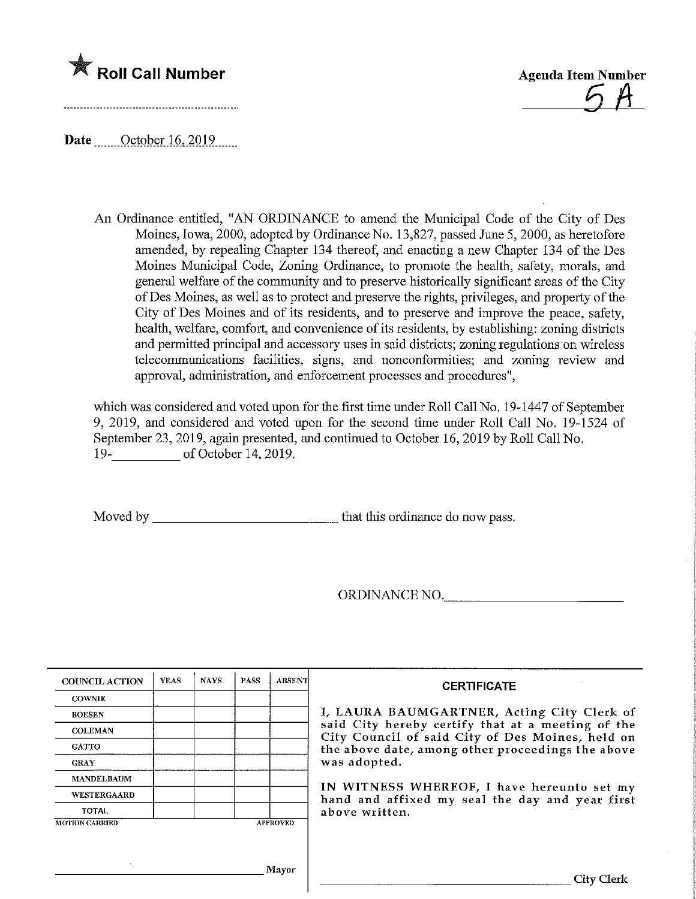



Date October 16, 2019

An Ordinance entitled, "AN ORDINANCE to amend the Municipal Code of the City of Des Moines, Iowa, 2000, adopted by Ordinance No. 13,827, passed June 5, 2000, as heretofore amended, by repealing Chapter 134 thereof, and enacting a new Chapter 134 of the Des Moines Municipal Code, Zoning Ordinance, to promote the health, safety, morals, and general welfare of the community and to preserve historically significant areas of the City ofDes Momes, as well as to protect and preserve the rights, privileges, and property of the City of Des Moines and of its residents, and to preserve and improve the peace, safety, health, welfare, comfort, and convenience of its residents, by establishing: zoning districts and permitted principal and accessory uses in said districts; zoning regulations on wireless telecomraunications facilities, signs, and nonconformities; and zoning review and approval, administration, and enforcement processes and procedures",

which was considered and voted upon for the first time under Roll Call No. 19-1447 of September 9, 2019, and considered and voted upon for the second time under Roll Call No. 19-1524 of September 23, 2019, again presented, and continued to October 16, 2019 by Roll Call No. 19- of October 14, 2019.

Moved by that this ordinance do now pass.

ORDINANCE NO.

| <b>COUNCIL ACTION</b> | <b>YEAS</b> | <b>NAYS</b> | <b>PASS</b> | <b>ABSENT</b>   | <b>CERTIFICATE</b>                                                                                    |  |  |  |  |
|-----------------------|-------------|-------------|-------------|-----------------|-------------------------------------------------------------------------------------------------------|--|--|--|--|
| <b>COWNIE</b>         |             |             |             |                 |                                                                                                       |  |  |  |  |
| <b>BOESEN</b>         |             |             |             |                 | I, LAURA BAUMGARTNER, Acting City Clerk of                                                            |  |  |  |  |
| <b>COLEMAN</b>        |             |             |             |                 | said City hereby certify that at a meeting of the<br>City Council of said City of Des Moines, held on |  |  |  |  |
| <b>GATTO</b>          |             |             |             |                 | the above date, among other proceedings the above                                                     |  |  |  |  |
| <b>GRAY</b>           |             |             |             |                 | was adopted.                                                                                          |  |  |  |  |
| <b>MANDELBAUM</b>     |             |             |             |                 |                                                                                                       |  |  |  |  |
| <b>WESTERGAARD</b>    |             |             |             |                 | IN WITNESS WHEREOF, I have hereunto set my<br>hand and affixed my seal the day and year first         |  |  |  |  |
| <b>TOTAL</b>          |             |             |             |                 | above written.                                                                                        |  |  |  |  |
| <b>MOTION CARRIED</b> |             |             |             | <b>APPROVED</b> |                                                                                                       |  |  |  |  |
|                       |             |             |             |                 |                                                                                                       |  |  |  |  |
| $\sim$                |             |             |             |                 |                                                                                                       |  |  |  |  |
|                       |             |             |             | <b>Mayor</b>    | City Clerk                                                                                            |  |  |  |  |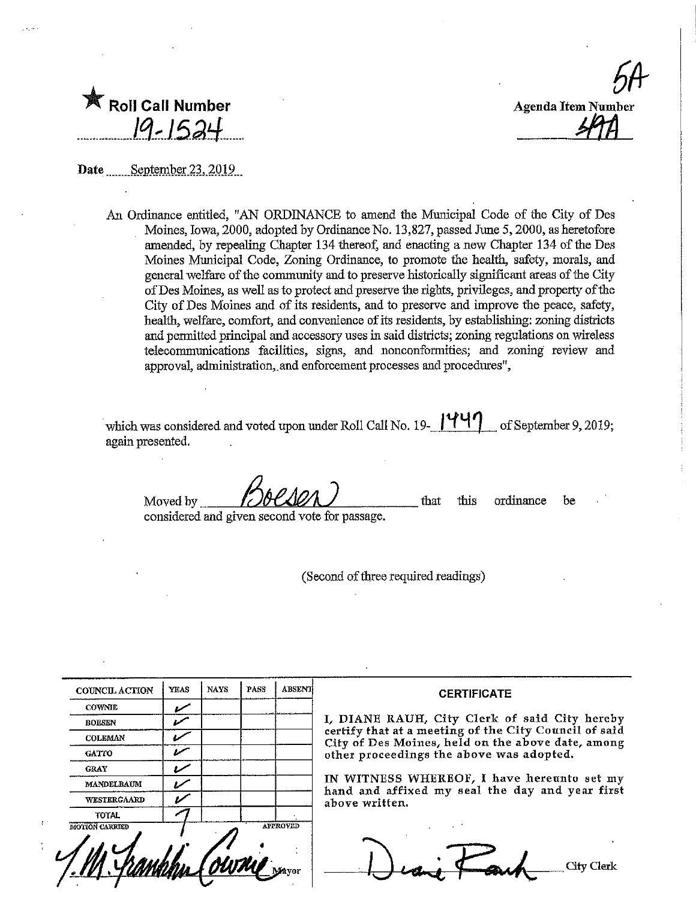| h                         |
|---------------------------|
|                           |
| <b>Agenda Item Number</b> |
|                           |
|                           |

 $\mathbb{\hat{R}}$  Roll Call Number 19-152

Date September 23, 2019

An Ordinance entitled, "AN ORDINANCE to amend the Municipal Code of the City of Des Moines, Iowa, 2000, adopted by Ordinance No. 13,827, passed June 5, 2000, as heretofore amended, by repealing Chapter 134 thereof, and enacting a new Chapter 134 of the Des Moines Municipal Code, Zoning Ordinance, to promote the health, safety, morals, and general welfare of the community and to preserve historically significant areas of the City ofDes Momes, as well as to protect and preserve Hie rights, privileges, and property of the City of Des Moines and of its residents, and to preserve and improve the peace, safety, healfh, welfare, comfort, and convenience of its residents, by establishing: zoning districts and permitted principal and accessory uses in said districts; zoning regulations on wireless telecommunications facilities, signs, and nonconformities; and zoning review and approval, administration, and enforcement processes and procedures",

which was considered and voted upon under Roll Call No. 19- $\frac{|444|}{ }$  of September 9, 2019; again presented.

Moved by **Boeson** considered and given second vote for passage. that this ordinance be

(Second of three required readings)

| <b>COUNCIL ACTION</b> | <b>YEAS</b> | <b>NAYS</b>                | PASS | <b>ABSENT</b>   | <b>CERTIFIO</b>                                             |
|-----------------------|-------------|----------------------------|------|-----------------|-------------------------------------------------------------|
| <b>COWNIE</b>         |             |                            |      |                 |                                                             |
| <b>BOESEN</b>         |             |                            |      |                 | I, DIANE RAUH, City Cle                                     |
| <b>COLEMAN</b>        |             |                            |      |                 | certify that at a meeting of<br>City of Des Moines, held or |
| <b>GATTO</b>          |             |                            |      |                 | other proceedings the abov                                  |
| <b>GRAY</b>           |             |                            |      |                 |                                                             |
| MANDELBAUM            |             |                            |      |                 | IN WITNESS WHEREOF, I<br>hand and affixed my seal           |
| <b>WESTERGAARD</b>    |             |                            |      |                 | above written.                                              |
| <b>TOTAL</b>          |             |                            |      |                 |                                                             |
| MOTION CARRIED        |             | <b><i><u>OUTNO</u></i></b> |      | <b>APPROVED</b> |                                                             |

## CATE

rk of said City hereby the City Council of said n the above date, among e was adopted,

I have hereunto set my the day and year first

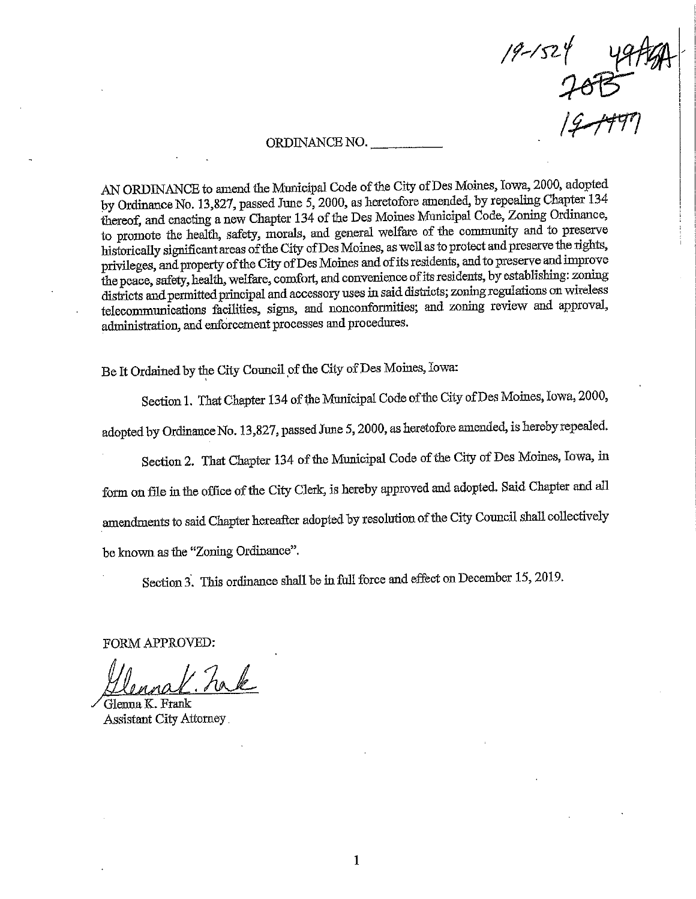$19 - 1524$ 

## ORDINANCE NO.

AN ORDINANCE to amend the Municipal Code of the City of Des Moines, Iowa, 2000, adopted by Ordinance No. 13,827, passed June 5, 2000, as heretofore amended, by repealing Chapter  $134$ thereof, and enacting a new Chapter 134 of the Des Moines Municipal Code, Zoning Ordinance, to promote the health, safety, morals, and general welfare of the community and to preserve historically sigmficaat areas of the City ofDes Moiaes, as well as to protect and preserve the rights, privileges, and property of the City of Des Moines and of its residents, and to preserve and improve<br>the peace, safety, health, welfare, comfort, and convenience of its residents, by establishing: zoning e peace, safety, health, welfare, comfort, and convenence of its residents, by establishments,  $z_0$ districts and permitted principal and accessory uses in said districts; zoning regulations on wixdess telecommunications facilities, signs, and nonconformities; and zoning review and approval, administration, and enforcement processes and procedures.

Be It Ordained by the City Council of the City of Des Moines, Iowa:

Section 1. That Chapter 134 of the Municipal Code of the City of Des Moines, Iowa, 2000,

adopted by Ordinance No. 13,827, passed June 5, 2000, as heretofore amended, is hereby repealed.

Section 2. That Chapter 134 of the Municipal Code of the City of Des Moines, Iowa, in

form on file in the office of the City Clerk, is hereby approved and adopted. Said Chapter and all

amendments to said Chapter hereafter adopted by resolution of the City Council shall collectively

be known as the "Zoning Ordinance".

Section 3. This ordinance shall be in full force and effect on December 15, 2019.

FORM APPROVED:

 $22$ 

/ Glenna K. Frank Assistant City Attorney.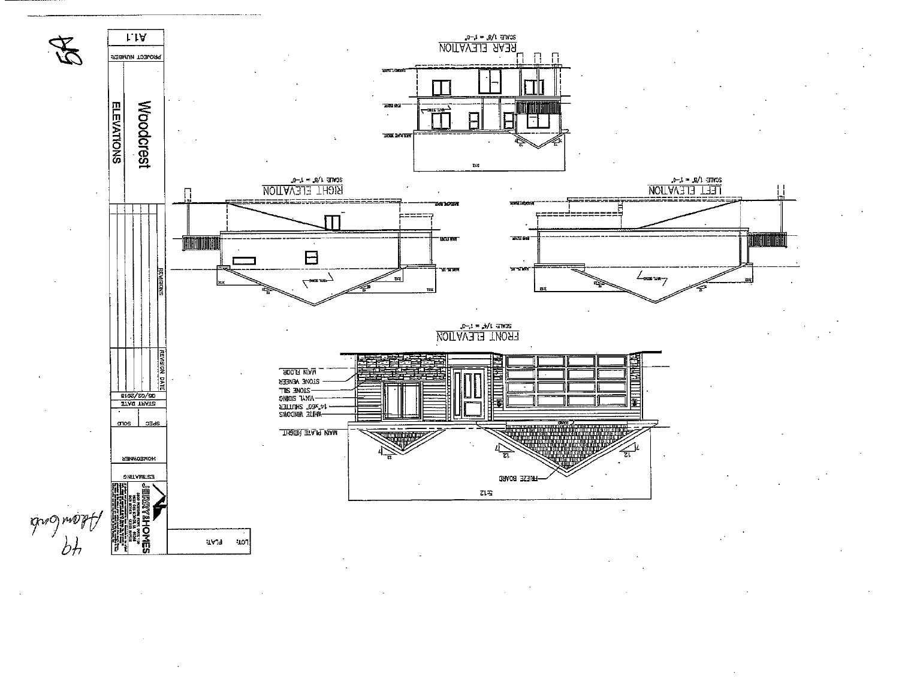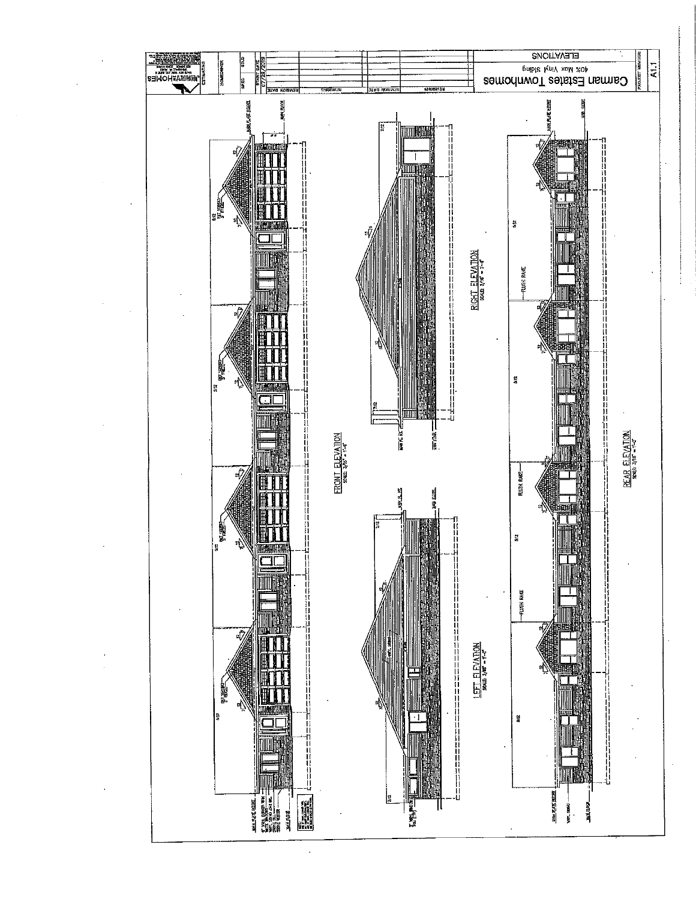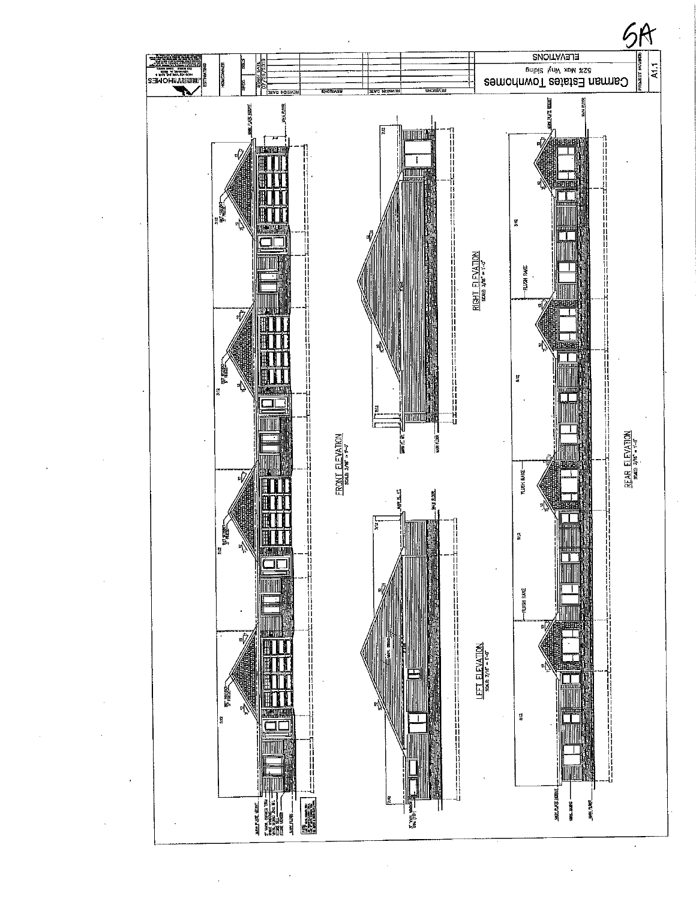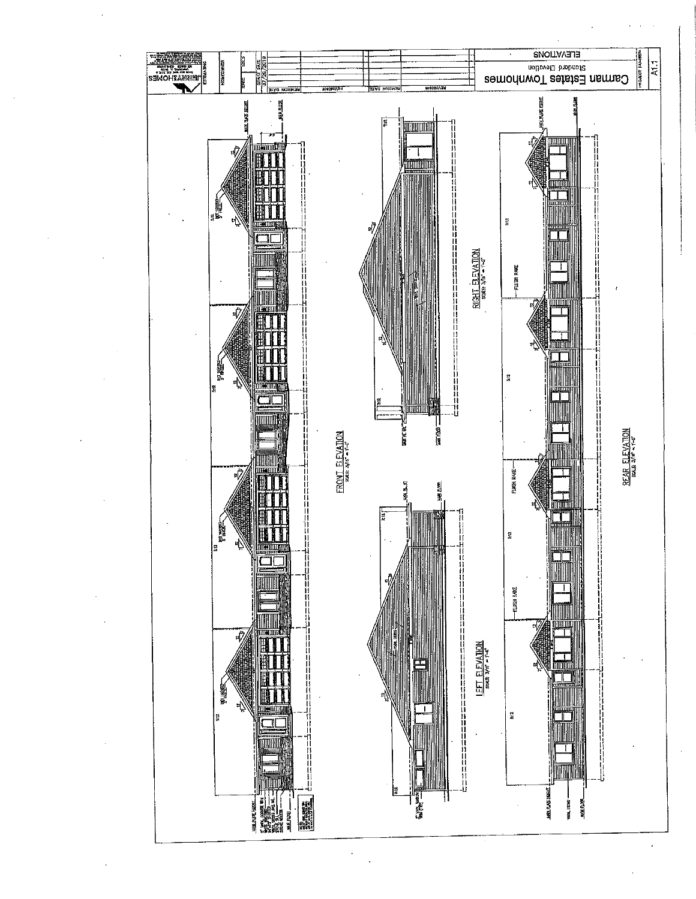